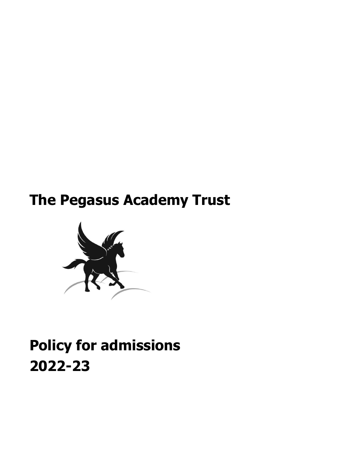# **The Pegasus Academy Trust**



# **Policy for admissions 2022-23**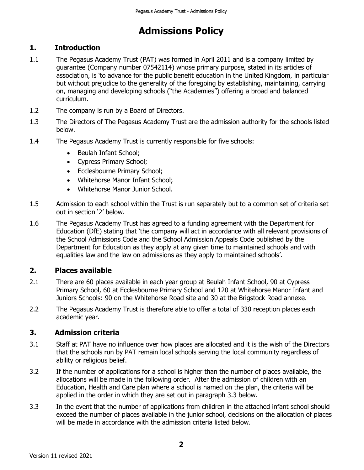## **Admissions Policy**

### **1. Introduction**

- 1.1 The Pegasus Academy Trust (PAT) was formed in April 2011 and is a company limited by guarantee (Company number 07542114) whose primary purpose, stated in its articles of association, is 'to advance for the public benefit education in the United Kingdom, in particular but without prejudice to the generality of the foregoing by establishing, maintaining, carrying on, managing and developing schools ("the Academies") offering a broad and balanced curriculum.
- 1.2 The company is run by a Board of Directors.
- 1.3 The Directors of The Pegasus Academy Trust are the admission authority for the schools listed below.
- 1.4 The Pegasus Academy Trust is currently responsible for five schools:
	- Beulah Infant School;
	- Cypress Primary School;
	- Ecclesbourne Primary School;
	- Whitehorse Manor Infant School:
	- Whitehorse Manor Junior School.
- 1.5 Admission to each school within the Trust is run separately but to a common set of criteria set out in section '2' below.
- 1.6 The Pegasus Academy Trust has agreed to a funding agreement with the Department for Education (DfE) stating that 'the company will act in accordance with all relevant provisions of the School Admissions Code and the School Admission Appeals Code published by the Department for Education as they apply at any given time to maintained schools and with equalities law and the law on admissions as they apply to maintained schools'.

#### **2. Places available**

- 2.1 There are 60 places available in each year group at Beulah Infant School, 90 at Cypress Primary School, 60 at Ecclesbourne Primary School and 120 at Whitehorse Manor Infant and Juniors Schools: 90 on the Whitehorse Road site and 30 at the Brigstock Road annexe.
- 2.2 The Pegasus Academy Trust is therefore able to offer a total of 330 reception places each academic year.

#### **3. Admission criteria**

- 3.1 Staff at PAT have no influence over how places are allocated and it is the wish of the Directors that the schools run by PAT remain local schools serving the local community regardless of ability or religious belief.
- 3.2 If the number of applications for a school is higher than the number of places available, the allocations will be made in the following order. After the admission of children with an Education, Health and Care plan where a school is named on the plan, the criteria will be applied in the order in which they are set out in paragraph 3.3 below.
- 3.3 In the event that the number of applications from children in the attached infant school should exceed the number of places available in the junior school, decisions on the allocation of places will be made in accordance with the admission criteria listed below.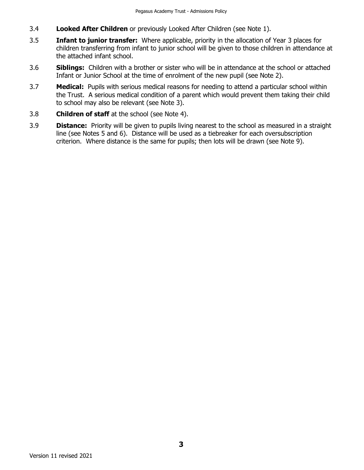- 3.4 **Looked After Children** or previously Looked After Children (see Note 1).
- 3.5 **Infant to junior transfer:** Where applicable, priority in the allocation of Year 3 places for children transferring from infant to junior school will be given to those children in attendance at the attached infant school.
- 3.6 **Siblings:** Children with a brother or sister who will be in attendance at the school or attached Infant or Junior School at the time of enrolment of the new pupil (see Note 2).
- 3.7 **Medical:** Pupils with serious medical reasons for needing to attend a particular school within the Trust. A serious medical condition of a parent which would prevent them taking their child to school may also be relevant (see Note 3).
- 3.8 **Children of staff** at the school (see Note 4).
- 3.9 **Distance:** Priority will be given to pupils living nearest to the school as measured in a straight line (see Notes 5 and 6). Distance will be used as a tiebreaker for each oversubscription criterion. Where distance is the same for pupils; then lots will be drawn (see Note 9).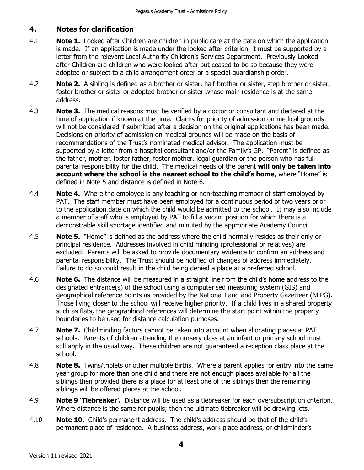### **4. Notes for clarification**

- 4.1 **Note 1.** Looked after Children are children in public care at the date on which the application is made. If an application is made under the looked after criterion, it must be supported by a letter from the relevant Local Authority Children's Services Department. Previously Looked after Children are children who were looked after but ceased to be so because they were adopted or subject to a child arrangement order or a special guardianship order.
- 4.2 **Note 2.** A sibling is defined as a brother or sister, half brother or sister, step brother or sister, foster brother or sister or adopted brother or sister whose main residence is at the same address.
- 4.3 **Note 3.** The medical reasons must be verified by a doctor or consultant and declared at the time of application if known at the time. Claims for priority of admission on medical grounds will not be considered if submitted after a decision on the original applications has been made. Decisions on priority of admission on medical grounds will be made on the basis of recommendations of the Trust's nominated medical advisor. The application must be supported by a letter from a hospital consultant and/or the Family's GP."Parent" is defined as the father, mother, foster father, foster mother, legal guardian or the person who has full parental responsibility for the child. The medical needs of the parent **will only be taken into account where the school is the nearest school to the child's home**, where "Home" is defined in Note 5 and distance is defined in Note 6.
- 4.4 **Note 4.** Where the employee is any teaching or non-teaching member of staff employed by PAT. The staff member must have been employed for a continuous period of two years prior to the application date on which the child would be admitted to the school. It may also include a member of staff who is employed by PAT to fill a vacant position for which there is a demonstrable skill shortage identified and minuted by the appropriate Academy Council.
- 4.5 **Note 5.** "Home" is defined as the address where the child normally resides as their only or principal residence. Addresses involved in child minding (professional or relatives) are excluded. Parents will be asked to provide documentary evidence to confirm an address and parental responsibility. The Trust should be notified of changes of address immediately. Failure to do so could result in the child being denied a place at a preferred school.
- 4.6 **Note 6.** The distance will be measured in a straight line from the child's home address to the designated entrance(s) of the school using a computerised measuring system (GIS) and geographical reference points as provided by the National Land and Property Gazetteer (NLPG). Those living closer to the school will receive higher priority. If a child lives in a shared property such as flats, the geographical references will determine the start point within the property boundaries to be used for distance calculation purposes.
- 4.7 **Note 7.** Childminding factors cannot be taken into account when allocating places at PAT schools. Parents of children attending the nursery class at an infant or primary school must still apply in the usual way. These children are not guaranteed a reception class place at the school.
- 4.8 **Note 8.** Twins/triplets or other multiple births. Where a parent applies for entry into the same year group for more than one child and there are not enough places available for all the siblings then provided there is a place for at least one of the siblings then the remaining siblings will be offered places at the school.
- 4.9 **Note 9 'Tiebreaker'.** Distance will be used as a tiebreaker for each oversubscription criterion. Where distance is the same for pupils; then the ultimate tiebreaker will be drawing lots.
- 4.10 **Note 10.** Child's permanent address. The child's address should be that of the child's permanent place of residence. A business address, work place address, or childminder's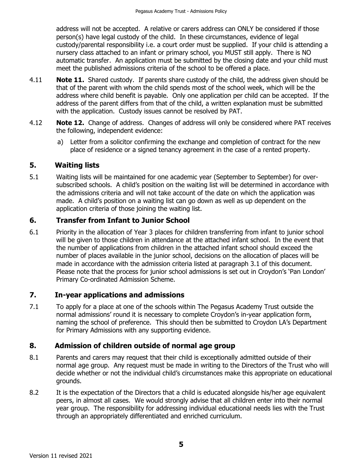address will not be accepted. A relative or carers address can ONLY be considered if those person(s) have legal custody of the child. In these circumstances, evidence of legal custody/parental responsibility i.e. a court order must be supplied. If your child is attending a nursery class attached to an infant or primary school, you MUST still apply. There is NO automatic transfer. An application must be submitted by the closing date and your child must meet the published admissions criteria of the school to be offered a place.

- 4.11 **Note 11.** Shared custody. If parents share custody of the child, the address given should be that of the parent with whom the child spends most of the school week, which will be the address where child benefit is payable. Only one application per child can be accepted. If the address of the parent differs from that of the child, a written explanation must be submitted with the application. Custody issues cannot be resolved by PAT.
- 4.12 **Note 12.** Change of address. Changes of address will only be considered where PAT receives the following, independent evidence:
	- a) Letter from a solicitor confirming the exchange and completion of contract for the new place of residence or a signed tenancy agreement in the case of a rented property.

### **5. Waiting lists**

5.1 Waiting lists will be maintained for one academic year (September to September) for oversubscribed schools. A child's position on the waiting list will be determined in accordance with the admissions criteria and will not take account of the date on which the application was made. A child's position on a waiting list can go down as well as up dependent on the application criteria of those joining the waiting list.

### **6. Transfer from Infant to Junior School**

6.1 Priority in the allocation of Year 3 places for children transferring from infant to junior school will be given to those children in attendance at the attached infant school. In the event that the number of applications from children in the attached infant school should exceed the number of places available in the junior school, decisions on the allocation of places will be made in accordance with the admission criteria listed at paragraph 3.1 of this document. Please note that the process for junior school admissions is set out in Croydon's 'Pan London' Primary Co-ordinated Admission Scheme.

#### **7. In-year applications and admissions**

7.1 To apply for a place at one of the schools within The Pegasus Academy Trust outside the normal admissions' round it is necessary to complete Croydon's in-year application form, naming the school of preference. This should then be submitted to Croydon LA's Department for Primary Admissions with any supporting evidence.

#### **8. Admission of children outside of normal age group**

- 8.1 Parents and carers may request that their child is exceptionally admitted outside of their normal age group. Any request must be made in writing to the Directors of the Trust who will decide whether or not the individual child's circumstances make this appropriate on educational grounds.
- 8.2 It is the expectation of the Directors that a child is educated alongside his/her age equivalent peers, in almost all cases. We would strongly advise that all children enter into their normal year group. The responsibility for addressing individual educational needs lies with the Trust through an appropriately differentiated and enriched curriculum.